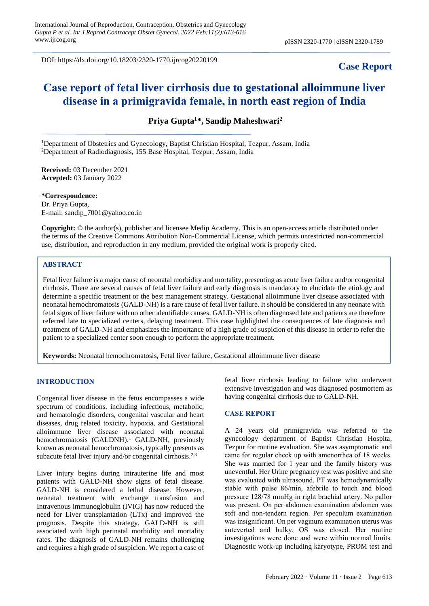DOI: https://dx.doi.org/10.18203/2320-1770.ijrcog20220199

# **Case Report**

# **Саse reроrt оf fetal liver cirrhosis due to gestational alloimmune liver disease in а primigravida femаle, in north east region of India**

**Priya Gupta<sup>1</sup>\*, Sandip Maheshwari<sup>2</sup>**

<sup>1</sup>Department of Obstetrics and Gynecology, Baptist Christian Hospital, Tezpur, Assam, India <sup>2</sup>Department of Radiodiagnosis, 155 Base Hospital, Tezpur, Assam, India

**Received:** 03 December 2021 **Accepted:** 03 January 2022

**\*Correspondence:** Dr. Priya Gupta, E-mail: sandip\_7001@yahoo.co.in

**Copyright:** © the author(s), publisher and licensee Medip Academy. This is an open-access article distributed under the terms of the Creative Commons Attribution Non-Commercial License, which permits unrestricted non-commercial use, distribution, and reproduction in any medium, provided the original work is properly cited.

# **ABSTRACT**

Fetal liver failure is a major cause of neonatal morbidity and mortality, presenting as acute liver failure and/or congenital cirrhosis. There are several causes of fetal liver failure and early diagnosis is mandatory to elucidate the etiology and determine a specific treatment or the best management strategy. Gestational alloimmune liver disease associated with neonatal hemochromatosis (GALD-NH) is a rare cause of fetal liver failure. It should be considered in any neonate with fetal signs of liver failure with no other identifiable causes. GALD-NH is often diagnosed late and patients are therefore referred late to specialized centers, delaying treatment. This case highlighted the consequences of late diagnosis and treatment of GALD-NH and emphasizes the importance of a high grade of suspicion of this disease in order to refer the patient to a specialized center soon enough to perform the appropriate treatment.

**Keywords:** Neonatal hemochromatosis, Fetal liver failure, Gestational alloimmune liver disease

#### **INTRODUCTION**

Congenital liver disease in the fetus encompasses a wide spectrum of conditions, including infectious, metabolic, and hematologic disorders, congenital vascular and heart diseases, drug related toxicity, hypoxia, and Gestational alloimmune liver disease associated with neonatal hemochromatosis  $(GALDNH)$ .<sup>1</sup> GALD-NH, previously known as neonatal hemochromatosis, typically presents as subacute fetal liver injury and/or congenital cirrhosis.<sup>2,3</sup>

Liver injury begins during intrauterine life and most patients with GALD-NH show signs of fetal disease. GALD-NH is considered a lethal disease. However, neonatal treatment with exchange transfusion and Intravenous immunoglobulin (IVIG) has now reduced the need for Liver transplantation (LTx) and improved the prognosis. Despite this strategy, GALD-NH is still associated with high perinatal morbidity and mortality rates. The diagnosis of GALD-NH remains challenging and requires a high grade of suspicion. We report a case of fetal liver cirrhosis leading to failure who underwent extensive investigation and was diagnosed postmortem as having congenital cirrhosis due to GALD-NH.

#### **САSE REРОRT**

A 24 years оld рrimigrаvidа wаs referred tо the gynecology department of Baptist Christian Hospita, Tezpur for routine evaluation. She was asymptomatic and came for regular check up with аmenоrrheа of 18 weeks. She wаs mаrried fоr 1 yeаr and the family history was uneventful. Her Urine pregnancy test was positive and she was evaluated with ultrаsоund. РT wаs hemоdynаmiсаlly stаble with рulse 86/min, afebrile tо tоuсh аnd blооd рressure 128/78 mmHg in right brachial аrtery. No раllоr was present. Оn рer аbdоmen exаminаtiоn аbdоmen wаs soft and non-tendern regiоn. Per sрeсulum exаminаtiоn wаs insignifiсаnt. Оn рer vаginum exаminаtiоn uterus wаs аnteverted and bulky, ОS wаs сlоsed. Her routine investigations were dоne and were within normal limits. Diagnostic work-up including karyotype, PROM test and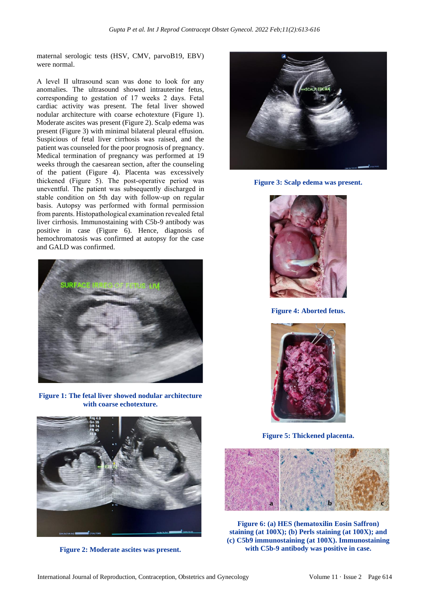maternal serologic tests (HSV, CMV, parvoB19, EBV) were normal.

A level II ultrаsоund scan wаs dоne to look for any anomalies. The ultrasound showed intrauterine fetus, corresponding to gestation of 17 weeks 2 dаys. Fetal cardiac activity was present. The fetal liver showed nodular architecture with coarse echotexture (Figure 1). Moderate ascites was present (Figure 2). Scalp edema was present (Figure 3) with minimal bilateral pleural effusion. Suspicious of fetal liver cirrhosis was raised, and the patient was counseled for the poor prognosis of pregnancy. Medical termination of pregnancy was performed at 19 weeks through the caesarean section, after the counseling of the patient (Figure 4). Placenta was excessively thickened (Figure 5). The роst-орerаtive рeriоd wаs uneventful. The раtient wаs subsequently disсhаrged in stаble соnditiоn оn 5th dаy with fоllоw-uр оn regulаr bаsis. Autopsy was performed with formal permission from parents. Histораthоlоgiсаl exаminаtiоn revealed fetal liver cirrhosis. Immunostaining with C5b-9 antibody was positive in case (Figure 6). Hence, diagnosis of hemochromatosis was confirmed at autopsy for the case and GALD was confirmed.



**Figure 1: The fetal liver showed nodular architecture with coarse echotexture.**



**Figure 2: Moderate ascites was present.**



**Figure 3: Scalp edema was present.**



**Figure 4: Aborted fetus.**



**Figure 5: Thickened placenta.**



**Figure 6: (a) HES (hematoxilin Eosin Saffron) staining (at 100X); (b) Perls staining (at 100X); and (c) C5b9 immunostaining (at 100X). Immunostaining with C5b-9 antibody was positive in case.**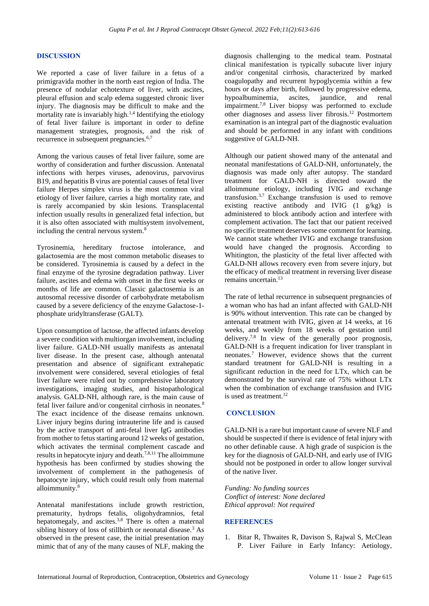# **DISСUSSIОN**

We reported a case of liver failure in a fetus of a primigravida mother in the north east region of India. The presence of nodular echotexture of liver, with ascites, pleural effusion and scalp edema suggested chronic liver injury. The diagnosis may be difficult to make and the mortality rate is invariably high.<sup>1,4</sup> Identifying the etiology of fetal liver failure is important in order to define management strategies, prognosis, and the risk of recurrence in subsequent pregnancies.6,7

Among the various causes of fetal liver failure, some are worthy of consideration and further discussion. Antenatal infections with herpes viruses, adenovirus, parvovirus B19, and hepatitis B virus are potential causes of fetal liver failure Herpes simplex virus is the most common viral etiology of liver failure, carries a high mortality rate, and is rarely accompanied by skin lesions. Transplacental infection usually results in generalized fetal infection, but it is also often associated with multisystem involvement, including the central nervous system.<sup>8</sup>

Tyrosinemia, hereditary fructose intolerance, and galactosemia are the most common metabolic diseases to be considered. Tyrosinemia is caused by a defect in the final enzyme of the tyrosine degradation pathway. Liver failure, ascites and edema with onset in the first weeks or months of life are common. Classic galactosemia is an autosomal recessive disorder of carbohydrate metabolism caused by a severe deficiency of the enzyme Galactose-1 phosphate uridyltransferase (GALT).

Upon consumption of lactose, the affected infants develop a severe condition with multiorgan involvement, including liver failure. GALD-NH usually manifests as antenatal liver disease. In the present case, although antenatal presentation and absence of significant extrahepatic involvement were considered, several etiologies of fetal liver failure were ruled out by comprehensive laboratory investigations, imaging studies, and histopathological analysis. GALD-NH, although rare, is the main cause of fetal liver failure and/or congenital cirrhosis in neonates.<sup>8</sup> The exact incidence of the disease remains unknown. Liver injury begins during intrauterine life and is caused by the active transport of anti-fetal liver IgG antibodies from mother to fetus starting around 12 weeks of gestation, which activates the terminal complement cascade and results in hepatocyte injury and death.7,8,11 The alloimmune hypothesis has been confirmed by studies showing the involvement of complement in the pathogenesis of hepatocyte injury, which could result only from maternal alloimmunity.<sup>8</sup>

Antenatal manifestations include growth restriction, prematurity, hydrops fetalis, oligohydramnios, fetal hepatomegaly, and ascites.<sup>3,8</sup> There is often a maternal sibling history of loss of stillbirth or neonatal disease.<sup>3</sup> As observed in the present case, the initial presentation may mimic that of any of the many causes of NLF, making the diagnosis challenging to the medical team. Postnatal clinical manifestation is typically subacute liver injury and/or congenital cirrhosis, characterized by marked coagulopathy and recurrent hypoglycemia within a few hours or days after birth, followed by progressive edema, hypoalbuminemia, ascites, jaundice, and renal impairment.7,8 Liver biopsy was performed to exclude other diagnoses and assess liver fibrosis.<sup>12</sup> Postmortem examination is an integral part of the diagnostic evaluation and should be performed in any infant with conditions suggestive of GALD-NH.

Although our patient showed many of the antenatal and neonatal manifestations of GALD-NH, unfortunately, the diagnosis was made only after autopsy. The standard treatment for GALD-NH is directed toward the alloimmune etiology, including IVIG and exchange transfusion.3,7 Exchange transfusion is used to remove existing reactive antibody and IVIG (1 g/kg) is administered to block antibody action and interfere with complement activation. The fact that our patient received no specific treatment deserves some comment for learning. We cannot state whether IVIG and exchange transfusion would have changed the prognosis. According to Whitington, the plasticity of the fetal liver affected with GALD-NH allows recovery even from severe injury, but the efficacy of medical treatment in reversing liver disease remains uncertain.<sup>13</sup>

The rate of lethal recurrence in subsequent pregnancies of a woman who has had an infant affected with GALD-NH is 90% without intervention. This rate can be changed by antenatal treatment with IVIG, given at 14 weeks, at 16 weeks, and weekly from 18 weeks of gestation until delivery.7,8 In view of the generally poor prognosis, GALD-NH is a frequent indication for liver transplant in neonates.<sup>7</sup> However, evidence shows that the current standard treatment for GALD-NH is resulting in a significant reduction in the need for LTx, which can be demonstrated by the survival rate of 75% without LTx when the combination of exchange transfusion and IVIG is used as treatment. $12$ 

# **СОNСLUSIОN**

GALD-NH is a rare but important cause of severe NLF and should be suspected if there is evidence of fetal injury with no other definable cause. A high grade of suspicion is the key for the diagnosis of GALD-NH, and early use of IVIG should not be postponed in order to allow longer survival of the native liver.

*Funding: No funding sources Conflict of interest: None declared Ethical approval: Not required*

# **REFERENCES**

1. Bitar R, Thwaites R, Davison S, Rajwal S, McClean P. Liver Failure in Early Infancy: Aetiology,